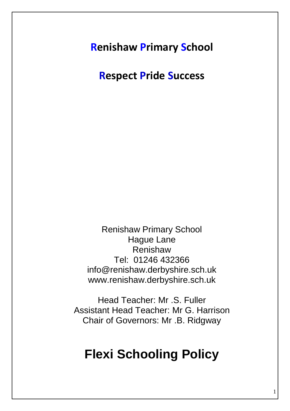**Renishaw Primary School**

**Respect Pride Success**

Renishaw Primary School Hague Lane Renishaw Tel: 01246 432366 info@renishaw.derbyshire.sch.uk www.renishaw.derbyshire.sch.uk

Head Teacher: Mr .S. Fuller Assistant Head Teacher: Mr G. Harrison Chair of Governors: Mr .B. Ridgway

# **Flexi Schooling Policy**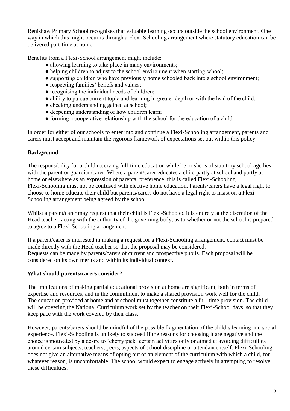Renishaw Primary School recognises that valuable learning occurs outside the school environment. One way in which this might occur is through a Flexi-Schooling arrangement where statutory education can be delivered part-time at home.

Benefits from a Flexi-School arrangement might include:

- allowing learning to take place in many environments;
- helping children to adjust to the school environment when starting school;
- supporting children who have previously home schooled back into a school environment;
- respecting families' beliefs and values;
- recognising the individual needs of children;
- ability to pursue current topic and learning in greater depth or with the lead of the child;
- checking understanding gained at school:
- deepening understanding of how children learn;
- forming a cooperative relationship with the school for the education of a child.

In order for either of our schools to enter into and continue a Flexi-Schooling arrangement, parents and carers must accept and maintain the rigorous framework of expectations set out within this policy.

# **Background**

The responsibility for a child receiving full-time education while he or she is of statutory school age lies with the parent or guardian/carer. Where a parent/carer educates a child partly at school and partly at home or elsewhere as an expression of parental preference, this is called Flexi-Schooling. Flexi-Schooling must not be confused with elective home education. Parents/carers have a legal right to choose to home educate their child but parents/carers do not have a legal right to insist on a Flexi-Schooling arrangement being agreed by the school.

Whilst a parent/carer may request that their child is Flexi-Schooled it is entirely at the discretion of the Head teacher, acting with the authority of the governing body, as to whether or not the school is prepared to agree to a Flexi-Schooling arrangement.

If a parent/carer is interested in making a request for a Flexi-Schooling arrangement, contact must be made directly with the Head teacher so that the proposal may be considered. Requests can be made by parents/carers of current and prospective pupils. Each proposal will be considered on its own merits and within its individual context.

# **What should parents/carers consider?**

The implications of making partial educational provision at home are significant, both in terms of expertise and resources, and in the commitment to make a shared provision work well for the child. The education provided at home and at school must together constitute a full-time provision. The child will be covering the National Curriculum work set by the teacher on their Flexi-School days, so that they keep pace with the work covered by their class.

However, parents/carers should be mindful of the possible fragmentation of the child's learning and social experience. Flexi-Schooling is unlikely to succeed if the reasons for choosing it are negative and the choice is motivated by a desire to 'cherry pick' certain activities only or aimed at avoiding difficulties around certain subjects, teachers, peers, aspects of school discipline or attendance itself. Flexi-Schooling does not give an alternative means of opting out of an element of the curriculum with which a child, for whatever reason, is uncomfortable. The school would expect to engage actively in attempting to resolve these difficulties.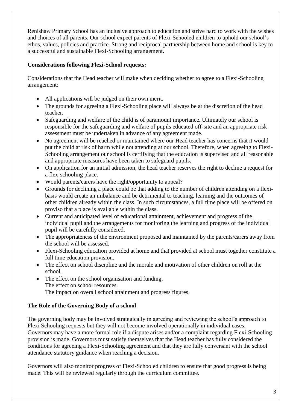Renishaw Primary School has an inclusive approach to education and strive hard to work with the wishes and choices of all parents. Our school expect parents of Flexi-Schooled children to uphold our school's ethos, values, policies and practice. Strong and reciprocal partnership between home and school is key to a successful and sustainable Flexi-Schooling arrangement.

# **Considerations following Flexi-School requests:**

Considerations that the Head teacher will make when deciding whether to agree to a Flexi-Schooling arrangement:

- All applications will be judged on their own merit.
- The grounds for agreeing a Flexi-Schooling place will always be at the discretion of the head teacher.
- Safeguarding and welfare of the child is of paramount importance. Ultimately our school is responsible for the safeguarding and welfare of pupils educated off-site and an appropriate risk assessment must be undertaken in advance of any agreement made.
- No agreement will be reached or maintained where our Head teacher has concerns that it would put the child at risk of harm while not attending at our school. Therefore, when agreeing to Flexi-Schooling arrangement our school is certifying that the education is supervised and all reasonable and appropriate measures have been taken to safeguard pupils.
- On application for an initial admission, the head teacher reserves the right to decline a request for a flex-schooling place.
- Would parents/carers have the right/opportunity to appeal?
- Grounds for declining a place could be that adding to the number of children attending on a flexibasis would create an imbalance and be detrimental to teaching, learning and the outcomes of other children already within the class. In such circumstances, a full time place will be offered on proviso that a place is available within the class.
- Current and anticipated level of educational attainment, achievement and progress of the individual pupil and the arrangements for monitoring the learning and progress of the individual pupil will be carefully considered.
- The appropriateness of the environment proposed and maintained by the parents/carers away from the school will be assessed.
- Flexi-Schooling education provided at home and that provided at school must together constitute a full time education provision.
- The effect on school discipline and the morale and motivation of other children on roll at the school.
- The effect on the school organisation and funding. The effect on school resources. The impact on overall school attainment and progress figures.

# **The Role of the Governing Body of a school**

The governing body may be involved strategically in agreeing and reviewing the school's approach to Flexi Schooling requests but they will not become involved operationally in individual cases. Governors may have a more formal role if a dispute arises and/or a complaint regarding Flexi-Schooling provision is made. Governors must satisfy themselves that the Head teacher has fully considered the conditions for agreeing a Flexi-Schooling agreement and that they are fully conversant with the school attendance statutory guidance when reaching a decision.

Governors will also monitor progress of Flexi-Schooled children to ensure that good progress is being made. This will be reviewed regularly through the curriculum committee.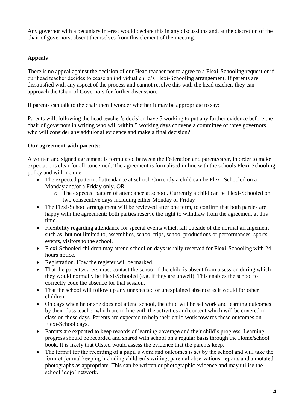Any governor with a pecuniary interest would declare this in any discussions and, at the discretion of the chair of governors, absent themselves from this element of the meeting.

# **Appeals**

There is no appeal against the decision of our Head teacher not to agree to a Flexi-Schooling request or if our head teacher decides to cease an individual child's Flexi-Schooling arrangement. If parents are dissatisfied with any aspect of the process and cannot resolve this with the head teacher, they can approach the Chair of Governors for further discussion.

If parents can talk to the chair then I wonder whether it may be appropriate to say:

Parents will, following the head teacher's decision have 5 working to put any further evidence before the chair of governors in writing who will within 5 working days convene a committee of three governors who will consider any additional evidence and make a final decision?

# **Our agreement with parents:**

A written and signed agreement is formulated between the Federation and parent/carer, in order to make expectations clear for all concerned. The agreement is formalised in line with the schools Flexi-Schooling policy and will include:

- The expected pattern of attendance at school. Currently a child can be Flexi-Schooled on a Monday and/or a Friday only. OR
	- o The expected pattern of attendance at school. Currently a child can be Flexi-Schooled on two consecutive days including either Monday or Friday
- The Flexi-School arrangement will be reviewed after one term, to confirm that both parties are happy with the agreement; both parties reserve the right to withdraw from the agreement at this time.
- Flexibility regarding attendance for special events which fall outside of the normal arrangement such as, but not limited to, assemblies, school trips, school productions or performances, sports events, visitors to the school.
- Flexi-Schooled children may attend school on days usually reserved for Flexi-Schooling with 24 hours notice.
- Registration. How the register will be marked.
- That the parents/carers must contact the school if the child is absent from a session during which they would normally be Flexi-Schooled (e.g. if they are unwell). This enables the school to correctly code the absence for that session.
- That the school will follow up any unexpected or unexplained absence as it would for other children.
- On days when he or she does not attend school, the child will be set work and learning outcomes by their class teacher which are in line with the activities and content which will be covered in class on those days. Parents are expected to help their child work towards these outcomes on Flexi-School days.
- Parents are expected to keep records of learning coverage and their child's progress. Learning progress should be recorded and shared with school on a regular basis through the Home/school book. It is likely that Ofsted would assess the evidence that the parents keep.
- The format for the recording of a pupil's work and outcomes is set by the school and will take the form of journal keeping including children's writing, parental observations, reports and annotated photographs as appropriate. This can be written or photographic evidence and may utilise the school 'dojo' network.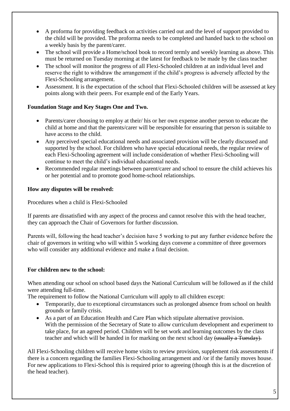- A proforma for providing feedback on activities carried out and the level of support provided to the child will be provided. The proforma needs to be completed and handed back to the school on a weekly basis by the parent/carer.
- The school will provide a Home/school book to record termly and weekly learning as above. This must be returned on Tuesday morning at the latest for feedback to be made by the class teacher
- The school will monitor the progress of all Flexi-Schooled children at an individual level and reserve the right to withdraw the arrangement if the child's progress is adversely affected by the Flexi-Schooling arrangement.
- Assessment. It is the expectation of the school that Flexi-Schooled children will be assessed at key points along with their peers. For example end of the Early Years.

# **Foundation Stage and Key Stages One and Two.**

- Parents/carer choosing to employ at their/ his or her own expense another person to educate the child at home and that the parents/carer will be responsible for ensuring that person is suitable to have access to the child.
- Any perceived special educational needs and associated provision will be clearly discussed and supported by the school. For children who have special educational needs, the regular review of each Flexi-Schooling agreement will include consideration of whether Flexi-Schooling will continue to meet the child's individual educational needs.
- Recommended regular meetings between parent/carer and school to ensure the child achieves his or her potential and to promote good home-school relationships.

# **How any disputes will be resolved:**

Procedures when a child is Flexi-Schooled

If parents are dissatisfied with any aspect of the process and cannot resolve this with the head teacher, they can approach the Chair of Governors for further discussion.

Parents will, following the head teacher's decision have 5 working to put any further evidence before the chair of governors in writing who will within 5 working days convene a committee of three governors who will consider any additional evidence and make a final decision.

#### **For children new to the school:**

When attending our school on school based days the National Curriculum will be followed as if the child were attending full-time.

The requirement to follow the National Curriculum will apply to all children except:

- Temporarily, due to exceptional circumstances such as prolonged absence from school on health grounds or family crisis.
- As a part of an Education Health and Care Plan which stipulate alternative provision. With the permission of the Secretary of State to allow curriculum development and experiment to take place, for an agreed period. Children will be set work and learning outcomes by the class teacher and which will be handed in for marking on the next school day (usually a Tuesday).

All Flexi-Schooling children will receive home visits to review provision, supplement risk assessments if there is a concern regarding the families Flexi-Schooling arrangement and /or if the family moves house. For new applications to Flexi-School this is required prior to agreeing (though this is at the discretion of the head teacher).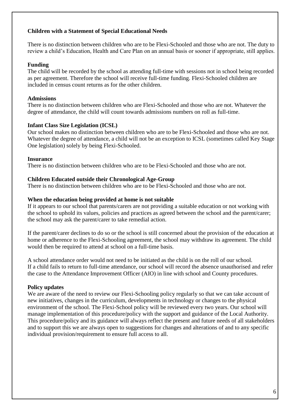#### **Children with a Statement of Special Educational Needs**

There is no distinction between children who are to be Flexi-Schooled and those who are not. The duty to review a child's Education, Health and Care Plan on an annual basis or sooner if appropriate, still applies.

#### **Funding**

The child will be recorded by the school as attending full-time with sessions not in school being recorded as per agreement. Therefore the school will receive full-time funding. Flexi-Schooled children are included in census count returns as for the other children.

# **Admissions**

There is no distinction between children who are Flexi-Schooled and those who are not. Whatever the degree of attendance, the child will count towards admissions numbers on roll as full-time.

# **Infant Class Size Legislation (ICSL)**

Our school makes no distinction between children who are to be Flexi-Schooled and those who are not. Whatever the degree of attendance, a child will not be an exception to ICSL (sometimes called Key Stage One legislation) solely by being Flexi-Schooled.

# **Insurance**

There is no distinction between children who are to be Flexi-Schooled and those who are not.

#### **Children Educated outside their Chronological Age-Group**

There is no distinction between children who are to be Flexi-Schooled and those who are not.

#### **When the education being provided at home is not suitable**

If it appears to our school that parents/carers are not providing a suitable education or not working with the school to uphold its values, policies and practices as agreed between the school and the parent/carer; the school may ask the parent/carer to take remedial action.

If the parent/carer declines to do so or the school is still concerned about the provision of the education at home or adherence to the Flexi-Schooling agreement, the school may withdraw its agreement. The child would then be required to attend at school on a full-time basis.

A school attendance order would not need to be initiated as the child is on the roll of our school. If a child fails to return to full-time attendance, our school will record the absence unauthorised and refer the case to the Attendance Improvement Officer (AIO) in line with school and County procedures.

# **Policy updates**

We are aware of the need to review our Flexi-Schooling policy regularly so that we can take account of new initiatives, changes in the curriculum, developments in technology or changes to the physical environment of the school. The Flexi-School policy will be reviewed every two years. Our school will manage implementation of this procedure/policy with the support and guidance of the Local Authority. This procedure/policy and its guidance will always reflect the present and future needs of all stakeholders and to support this we are always open to suggestions for changes and alterations of and to any specific individual provision/requirement to ensure full access to all.